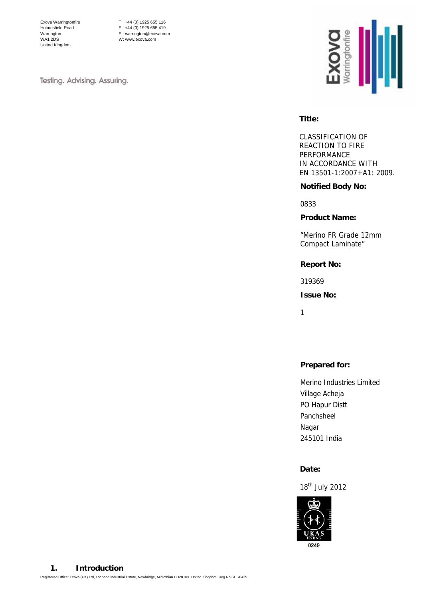Exova Warringtonfire Holmesfield Road Warrington WA1 2DS United Kingdom

T : +44 (0) 1925 655 116  $F : +44 (0) 1925 655 419$ E : warrington@exova.com W: www.exova.com

Testing. Advising. Assuring.



# **Title:**

CLASSIFICATION OF REACTION TO FIRE PERFORMANCE IN ACCORDANCE WITH EN 13501-1:2007+A1: 2009.

### **Notified Body No:**

0833

### **Product Name:**

"Merino FR Grade 12mm Compact Laminate"

### **Report No:**

319369

**Issue No:** 

1

# **Prepared for:**

Merino Industries Limited Village Acheja PO Hapur Distt Panchsheel Nagar 245101 India

#### **Date:**

18th July 2012

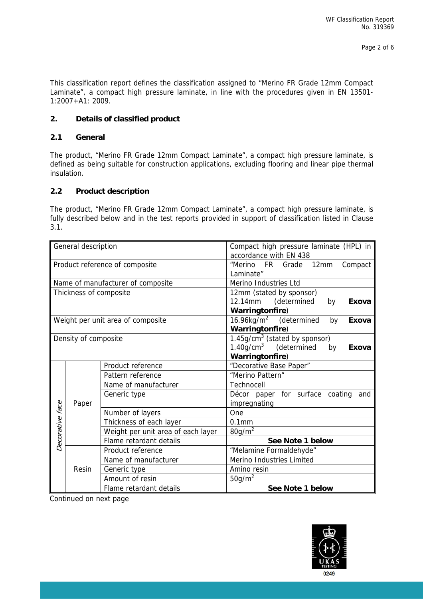This classification report defines the classification assigned to "Merino FR Grade 12mm Compact Laminate", a compact high pressure laminate, in line with the procedures given in EN 13501- 1:2007+A1: 2009.

### **2. Details of classified product**

### **2.1 General**

The product, "Merino FR Grade 12mm Compact Laminate", a compact high pressure laminate, is defined as being suitable for construction applications, excluding flooring and linear pipe thermal insulation.

### **2.2 Product description**

The product, "Merino FR Grade 12mm Compact Laminate", a compact high pressure laminate, is fully described below and in the test reports provided in support of classification listed in Clause 3.1.

| General description               |                        |                                       | Compact high pressure laminate (HPL) in<br>accordance with EN 438 |  |  |  |  |
|-----------------------------------|------------------------|---------------------------------------|-------------------------------------------------------------------|--|--|--|--|
| Product reference of composite    |                        |                                       | "Merino FR Grade 12mm Compact                                     |  |  |  |  |
|                                   |                        |                                       | Laminate"                                                         |  |  |  |  |
|                                   |                        | Name of manufacturer of composite     | Merino Industries Ltd                                             |  |  |  |  |
|                                   | Thickness of composite |                                       | 12mm (stated by sponsor)                                          |  |  |  |  |
|                                   |                        |                                       | 12.14mm<br>(determined<br>Exova<br>by                             |  |  |  |  |
|                                   |                        |                                       | Warringtonfire)                                                   |  |  |  |  |
| Weight per unit area of composite |                        |                                       | $16.96$ kg/m <sup>2</sup> (determined<br>by<br>Exova              |  |  |  |  |
|                                   |                        |                                       | Warringtonfire)                                                   |  |  |  |  |
|                                   | Density of composite   |                                       | $1.45$ g/cm <sup>3</sup> (stated by sponsor)                      |  |  |  |  |
|                                   |                        |                                       | $1.40$ g/cm <sup>3</sup> (determined<br>by<br>Exova               |  |  |  |  |
|                                   |                        |                                       | <b>Warringtonfire)</b>                                            |  |  |  |  |
|                                   |                        | Product reference                     | "Decorative Base Paper"                                           |  |  |  |  |
|                                   | Paper                  | Pattern reference<br>"Merino Pattern" |                                                                   |  |  |  |  |
|                                   |                        | Name of manufacturer                  | Technocell                                                        |  |  |  |  |
|                                   |                        | Generic type                          | Décor paper for surface coating<br>and                            |  |  |  |  |
|                                   |                        |                                       | impregnating                                                      |  |  |  |  |
|                                   |                        | Number of layers                      | One                                                               |  |  |  |  |
|                                   |                        | Thickness of each layer               | $0.1$ mm                                                          |  |  |  |  |
| Decorative face                   |                        | Weight per unit area of each layer    | 80g/m <sup>2</sup>                                                |  |  |  |  |
|                                   |                        | Flame retardant details               | See Note 1 below                                                  |  |  |  |  |
|                                   |                        | Product reference                     | "Melamine Formaldehyde"                                           |  |  |  |  |
|                                   | Resin                  | Name of manufacturer                  | Merino Industries Limited                                         |  |  |  |  |
|                                   |                        | Generic type                          | Amino resin                                                       |  |  |  |  |
|                                   |                        | Amount of resin                       |                                                                   |  |  |  |  |
|                                   |                        |                                       | 50g/m <sup>2</sup>                                                |  |  |  |  |
|                                   |                        | Flame retardant details               | See Note 1 below                                                  |  |  |  |  |

Continued on next page

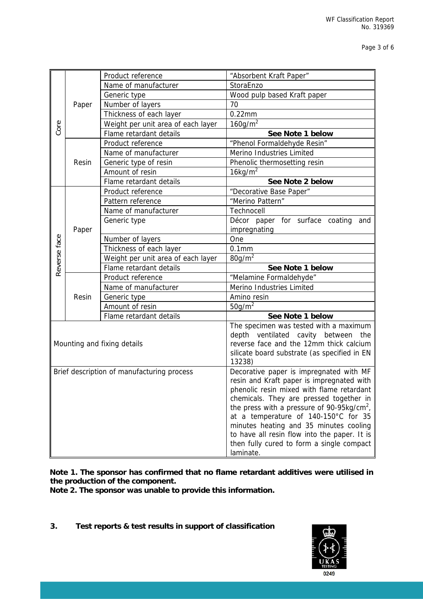|              |                                            | Product reference                                           | "Absorbent Kraft Paper"                                                                                                           |  |  |
|--------------|--------------------------------------------|-------------------------------------------------------------|-----------------------------------------------------------------------------------------------------------------------------------|--|--|
|              |                                            | Name of manufacturer                                        | StoraEnzo                                                                                                                         |  |  |
|              |                                            | Generic type                                                | Wood pulp based Kraft paper                                                                                                       |  |  |
|              | Paper                                      | Number of layers                                            | 70                                                                                                                                |  |  |
|              |                                            | Thickness of each layer                                     | $0.22$ mm                                                                                                                         |  |  |
| Core         |                                            | Weight per unit area of each layer                          | $160$ g/m <sup>2</sup>                                                                                                            |  |  |
|              |                                            | Flame retardant details                                     | See Note 1 below                                                                                                                  |  |  |
|              | Resin                                      | Product reference                                           | "Phenol Formaldehyde Resin"                                                                                                       |  |  |
|              |                                            | Name of manufacturer                                        | Merino Industries Limited                                                                                                         |  |  |
|              |                                            | Generic type of resin                                       | Phenolic thermosetting resin                                                                                                      |  |  |
|              |                                            | Amount of resin                                             | $16$ kg/m <sup>2</sup>                                                                                                            |  |  |
|              |                                            | Flame retardant details                                     | See Note 2 below                                                                                                                  |  |  |
|              |                                            | Product reference                                           | "Decorative Base Paper"                                                                                                           |  |  |
|              |                                            | Pattern reference                                           | "Merino Pattern"                                                                                                                  |  |  |
|              |                                            | Name of manufacturer                                        | Technocell                                                                                                                        |  |  |
|              |                                            | Generic type                                                | Décor paper for surface coating<br>and                                                                                            |  |  |
|              | Paper                                      |                                                             | impregnating                                                                                                                      |  |  |
| Reverse face |                                            | Number of layers                                            | One                                                                                                                               |  |  |
|              |                                            | Thickness of each layer                                     | 0.1 <sub>mm</sub>                                                                                                                 |  |  |
|              |                                            | Weight per unit area of each layer                          | $80g/m^2$                                                                                                                         |  |  |
|              |                                            | Flame retardant details                                     | See Note 1 below                                                                                                                  |  |  |
|              |                                            | Product reference<br>Name of manufacturer                   | "Melamine Formaldehyde"<br>Merino Industries Limited                                                                              |  |  |
|              | Resin                                      |                                                             | Amino resin                                                                                                                       |  |  |
|              |                                            | Generic type<br>Amount of resin                             | 50g/m <sup>2</sup>                                                                                                                |  |  |
|              |                                            | Flame retardant details                                     | See Note 1 below                                                                                                                  |  |  |
|              |                                            |                                                             | The specimen was tested with a maximum                                                                                            |  |  |
|              |                                            |                                                             | depth ventilated cavity between the                                                                                               |  |  |
|              | Mounting and fixing details                |                                                             | reverse face and the 12mm thick calcium                                                                                           |  |  |
|              |                                            |                                                             | silicate board substrate (as specified in EN                                                                                      |  |  |
|              |                                            |                                                             | 13238)                                                                                                                            |  |  |
|              | Brief description of manufacturing process |                                                             | Decorative paper is impregnated with MF                                                                                           |  |  |
|              |                                            |                                                             | resin and Kraft paper is impregnated with<br>phenolic resin mixed with flame retardant<br>chemicals. They are pressed together in |  |  |
|              |                                            |                                                             |                                                                                                                                   |  |  |
|              |                                            |                                                             |                                                                                                                                   |  |  |
|              |                                            |                                                             | the press with a pressure of 90-95 $kg/cm2$ ,                                                                                     |  |  |
|              |                                            |                                                             | at a temperature of 140-150°C for 35                                                                                              |  |  |
|              |                                            |                                                             | minutes heating and 35 minutes cooling                                                                                            |  |  |
|              |                                            |                                                             | to have all resin flow into the paper. It is<br>then fully cured to form a single compact                                         |  |  |
|              |                                            |                                                             | laminate.                                                                                                                         |  |  |
|              |                                            |                                                             |                                                                                                                                   |  |  |
|              |                                            |                                                             | Note 1. The sponsor has confirmed that no flame retardant additives were utilised in                                              |  |  |
|              |                                            | the production of the component.                            |                                                                                                                                   |  |  |
|              |                                            | Note 2. The sponsor was unable to provide this information. |                                                                                                                                   |  |  |
|              |                                            |                                                             |                                                                                                                                   |  |  |
|              |                                            |                                                             |                                                                                                                                   |  |  |
|              |                                            |                                                             |                                                                                                                                   |  |  |
| 3.           |                                            | Test reports & test results in support of classification    |                                                                                                                                   |  |  |
|              |                                            |                                                             |                                                                                                                                   |  |  |
|              |                                            |                                                             |                                                                                                                                   |  |  |
|              |                                            |                                                             |                                                                                                                                   |  |  |
|              |                                            |                                                             |                                                                                                                                   |  |  |
|              |                                            |                                                             |                                                                                                                                   |  |  |
|              |                                            |                                                             | 0249                                                                                                                              |  |  |
|              |                                            |                                                             |                                                                                                                                   |  |  |

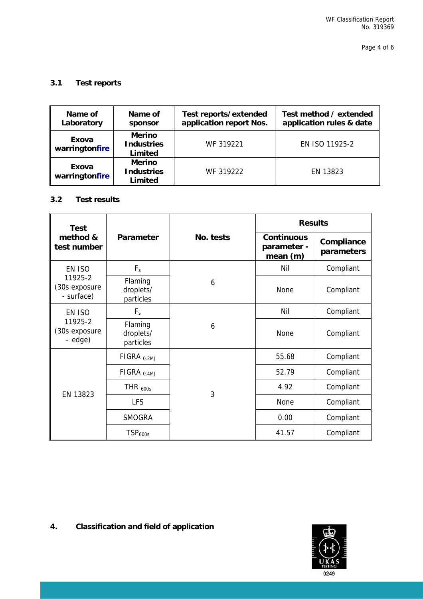# **3.1 Test reports**

| Name of<br>Laboratory   | Name of<br>sponsor                            | Test reports/extended<br>application report Nos. | Test method / extended<br>application rules & date |
|-------------------------|-----------------------------------------------|--------------------------------------------------|----------------------------------------------------|
| Exova<br>warringtonfire | <b>Merino</b><br><b>Industries</b><br>Limited | WF 319221                                        | EN ISO 11925-2                                     |
| Exova<br>warringtonfire | <b>Merino</b><br><b>Industries</b><br>Limited | WF 319222                                        | EN 13823                                           |

# **3.2 Test results**

| <b>Test</b>                              |                                   |           | <b>Results</b>                              |                          |  |
|------------------------------------------|-----------------------------------|-----------|---------------------------------------------|--------------------------|--|
| method &<br>test number                  | Parameter                         | No. tests | <b>Continuous</b><br>parameter -<br>mean(m) | Compliance<br>parameters |  |
| EN ISO                                   | $F_s$                             |           | Nil                                         | Compliant                |  |
| 11925-2<br>(30s exposure<br>- surface)   | Flaming<br>droplets/<br>particles | 6         | None                                        | Compliant                |  |
| EN ISO                                   | $F_s$                             |           | Nil                                         | Compliant                |  |
| 11925-2<br>(30s exposure<br>$-e$ dge $)$ | Flaming<br>droplets/<br>particles | 6         | None                                        | Compliant                |  |
|                                          | FIGRA <sub>0.2MJ</sub>            |           | 55.68                                       | Compliant                |  |
|                                          | FIGRA <sub>0.4MJ</sub>            |           | 52.79                                       | Compliant                |  |
| EN 13823                                 | THR $_{600s}$                     | 3         | 4.92                                        | Compliant                |  |
|                                          | <b>LFS</b>                        |           | <b>None</b>                                 | Compliant                |  |
|                                          | <b>SMOGRA</b>                     |           | 0.00                                        | Compliant                |  |
|                                          | TSP <sub>600s</sub>               |           | 41.57                                       | Compliant                |  |

# **4. Classification and field of application**

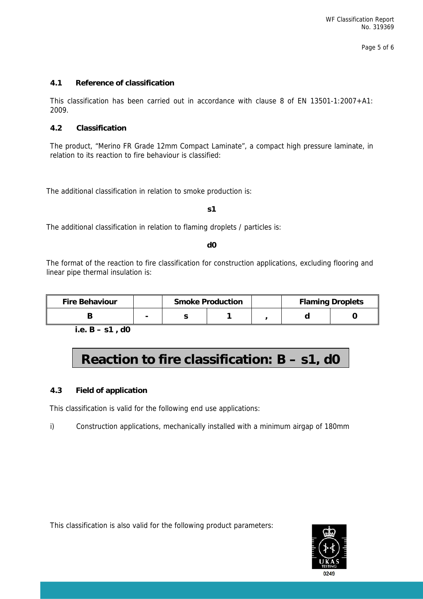# **4.1 Reference of classification**

This classification has been carried out in accordance with clause 8 of EN 13501-1:2007+A1: 2009.

### **4.2 Classification**

The product, "Merino FR Grade 12mm Compact Laminate", a compact high pressure laminate, in relation to its reaction to fire behaviour is classified:

The additional classification in relation to smoke production is:

#### **s1**

The additional classification in relation to flaming droplets / particles is:

#### **d0**

The format of the reaction to fire classification for construction applications, excluding flooring and linear pipe thermal insulation is:

| <b>Fire Behaviour</b> | <b>Smoke Production</b> |  | <b>Flaming Droplets</b> |  |
|-----------------------|-------------------------|--|-------------------------|--|
|                       |                         |  |                         |  |

**i.e. B – s1 , d0** 

# **Reaction to fire classification: B – s1, d0**

### **4.3 Field of application**

This classification is valid for the following end use applications:

i) Construction applications, mechanically installed with a minimum airgap of 180mm

This classification is also valid for the following product parameters: